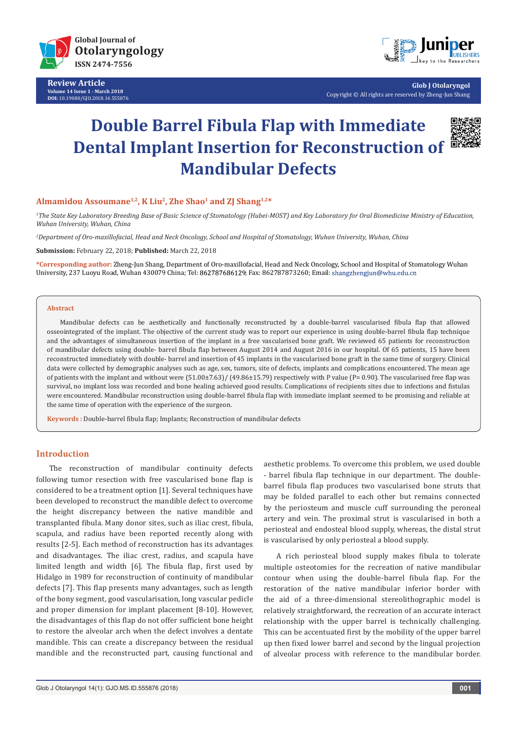

**Review Article Volume 14 Issue 1 - March 2018 DOI:** [10.19080/GJO.2018.14.555876](http://dx.doi.org/10.19080/GJO.2018.14.555876)



**Glob J Otolaryngol** Copyright © All rights are reserved by Zheng-Jun Shang

# **Double Barrel Fibula Flap with Immediate Dental Implant Insertion for Reconstruction of Mandibular Defects**



## **Almamidou Assoumane1,2, K Liu2, Zhe Shao1 and ZJ Shang1,2\***

*1 The State Key Laboratory Breeding Base of Basic Science of Stomatology (Hubei-MOST) and Key Laboratory for Oral Biomedicine Ministry of Education, Wuhan University, Wuhan, China*

*2 Department of Oro-maxillofacial, Head and Neck Oncology, School and Hospital of Stomatology, Wuhan University, Wuhan, China*

**Submission:** February 22, 2018; **Published:** March 22, 2018

**\*Corresponding author:** Zheng-Jun Shang, Department of Oro-maxillofacial, Head and Neck Oncology, School and Hospital of Stomatology Wuhan University, 237 Luoyu Road, Wuhan 430079 China; Tel: 862787686129; Fax: 862787873260; Email: shangzhengjun@whu.edu.cn

#### **Abstract**

Mandibular defects can be aesthetically and functionally reconstructed by a double-barrel vascularised fibula flap that allowed osseointegrated of the implant. The objective of the current study was to report our experience in using double-barrel fibula flap technique and the advantages of simultaneous insertion of the implant in a free vascularised bone graft. We reviewed 65 patients for reconstruction of mandibular defects using double- barrel fibula flap between August 2014 and August 2016 in our hospital. Of 65 patients, 15 have been reconstructed immediately with double- barrel and insertion of 45 implants in the vascularised bone graft in the same time of surgery. Clinical data were collected by demographic analyses such as age, sex, tumors, site of defects, implants and complications encountered. The mean age of patients with the implant and without were (51.00±7.63)/ (49.86±15.79) respectively with P value (P= 0.90). The vascularised free flap was survival, no implant loss was recorded and bone healing achieved good results. Complications of recipients sites due to infections and fistulas were encountered. Mandibular reconstruction using double-barrel fibula flap with immediate implant seemed to be promising and reliable at the same time of operation with the experience of the surgeon.

**Keywords :** Double-barrel fibula flap; Implants; Reconstruction of mandibular defects

## **Introduction**

The reconstruction of mandibular continuity defects following tumor resection with free vascularised bone flap is considered to be a treatment option [1]. Several techniques have been developed to reconstruct the mandible defect to overcome the height discrepancy between the native mandible and transplanted fibula. Many donor sites, such as iliac crest, fibula, scapula, and radius have been reported recently along with results [2-5]. Each method of reconstruction has its advantages and disadvantages. The iliac crest, radius, and scapula have limited length and width [6]. The fibula flap, first used by Hidalgo in 1989 for reconstruction of continuity of mandibular defects [7]. This flap presents many advantages, such as length of the bony segment, good vascularisation, long vascular pedicle and proper dimension for implant placement [8-10]. However, the disadvantages of this flap do not offer sufficient bone height to restore the alveolar arch when the defect involves a dentate mandible. This can create a discrepancy between the residual mandible and the reconstructed part, causing functional and aesthetic problems. To overcome this problem, we used double - barrel fibula flap technique in our department. The doublebarrel fibula flap produces two vascularised bone struts that may be folded parallel to each other but remains connected by the periosteum and muscle cuff surrounding the peroneal artery and vein. The proximal strut is vascularised in both a periosteal and endosteal blood supply, whereas, the distal strut is vascularised by only periosteal a blood supply.

A rich periosteal blood supply makes fibula to tolerate multiple osteotomies for the recreation of native mandibular contour when using the double-barrel fibula flap. For the restoration of the native mandibular inferior border with the aid of a three-dimensional stereolithographic model is relatively straightforward, the recreation of an accurate interact relationship with the upper barrel is technically challenging. This can be accentuated first by the mobility of the upper barrel up then fixed lower barrel and second by the lingual projection of alveolar process with reference to the mandibular border.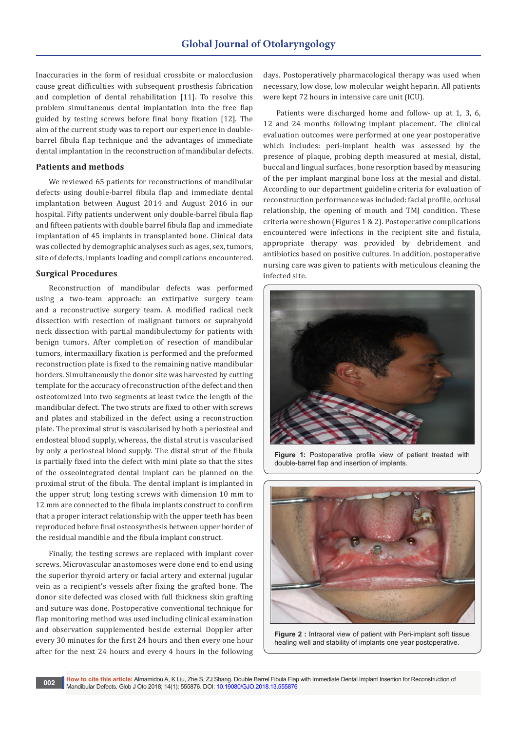Inaccuracies in the form of residual crossbite or malocclusion cause great difficulties with subsequent prosthesis fabrication and completion of dental rehabilitation [11]. To resolve this problem simultaneous dental implantation into the free flap guided by testing screws before final bony fixation [12]. The aim of the current study was to report our experience in doublebarrel fibula flap technique and the advantages of immediate dental implantation in the reconstruction of mandibular defects.

#### **Patients and methods**

We reviewed 65 patients for reconstructions of mandibular defects using double-barrel fibula flap and immediate dental implantation between August 2014 and August 2016 in our hospital. Fifty patients underwent only double-barrel fibula flap and fifteen patients with double barrel fibula flap and immediate implantation of 45 implants in transplanted bone. Clinical data was collected by demographic analyses such as ages, sex, tumors, site of defects, implants loading and complications encountered.

## **Surgical Procedures**

Reconstruction of mandibular defects was performed using a two-team approach: an extirpative surgery team and a reconstructive surgery team. A modified radical neck dissection with resection of malignant tumors or suprahyoid neck dissection with partial mandibulectomy for patients with benign tumors. After completion of resection of mandibular tumors, intermaxillary fixation is performed and the preformed reconstruction plate is fixed to the remaining native mandibular borders. Simultaneously the donor site was harvested by cutting template for the accuracy of reconstruction of the defect and then osteotomized into two segments at least twice the length of the mandibular defect. The two struts are fixed to other with screws and plates and stabilized in the defect using a reconstruction plate. The proximal strut is vascularised by both a periosteal and endosteal blood supply, whereas, the distal strut is vascularised by only a periosteal blood supply. The distal strut of the fibula is partially fixed into the defect with mini plate so that the sites of the osseointegrated dental implant can be planned on the proximal strut of the fibula. The dental implant is implanted in the upper strut; long testing screws with dimension 10 mm to 12 mm are connected to the fibula implants construct to confirm that a proper interact relationship with the upper teeth has been reproduced before final osteosynthesis between upper border of the residual mandible and the fibula implant construct.

Finally, the testing screws are replaced with implant cover screws. Microvascular anastomoses were done end to end using the superior thyroid artery or facial artery and external jugular vein as a recipient's vessels after fixing the grafted bone. The donor site defected was closed with full thickness skin grafting and suture was done. Postoperative conventional technique for flap monitoring method was used including clinical examination and observation supplemented beside external Doppler after every 30 minutes for the first 24 hours and then every one hour after for the next 24 hours and every 4 hours in the following days. Postoperatively pharmacological therapy was used when necessary, low dose, low molecular weight heparin. All patients were kept 72 hours in intensive care unit (ICU).

Patients were discharged home and follow- up at 1, 3, 6, 12 and 24 months following implant placement. The clinical evaluation outcomes were performed at one year postoperative which includes: peri-implant health was assessed by the presence of plaque, probing depth measured at mesial, distal, buccal and lingual surfaces, bone resorption based by measuring of the per implant marginal bone loss at the mesial and distal. According to our department guideline criteria for evaluation of reconstruction performance was included: facial profile, occlusal relationship, the opening of mouth and TMJ condition. These criteria were shown (Figures 1 & 2). Postoperative complications encountered were infections in the recipient site and fistula, appropriate therapy was provided by debridement and antibiotics based on positive cultures. In addition, postoperative nursing care was given to patients with meticulous cleaning the infected site.



Figure 1: Postoperative profile view of patient treated with double-barrel flap and insertion of implants.



**Figure 2 :** Intraoral view of patient with Peri-implant soft tissue healing well and stability of implants one year postoperative.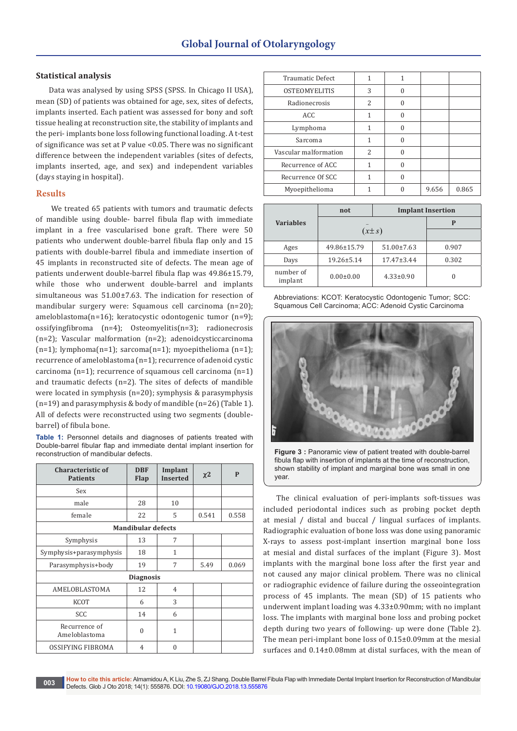## **Statistical analysis**

Data was analysed by using SPSS (SPSS. In Chicago II USA), mean (SD) of patients was obtained for age, sex, sites of defects, implants inserted. Each patient was assessed for bony and soft tissue healing at reconstruction site, the stability of implants and the peri- implants bone loss following functional loading. A t-test of significance was set at P value <0.05. There was no significant difference between the independent variables (sites of defects, implants inserted, age, and sex) and independent variables (days staying in hospital).

## **Results**

 We treated 65 patients with tumors and traumatic defects of mandible using double- barrel fibula flap with immediate implant in a free vascularised bone graft. There were 50 patients who underwent double-barrel fibula flap only and 15 patients with double-barrel fibula and immediate insertion of 45 implants in reconstructed site of defects. The mean age of patients underwent double-barrel fibula flap was 49.86±15.79, while those who underwent double-barrel and implants simultaneous was 51.00±7.63. The indication for resection of mandibular surgery were: Squamous cell carcinoma (n=20); ameloblastoma(n=16); keratocystic odontogenic tumor (n=9); ossifyingfibroma (n=4); Osteomyelitis(n=3); radionecrosis (n=2); Vascular malformation (n=2); adenoidcysticcarcinoma  $(n=1)$ ; lymphoma $(n=1)$ ; sarcoma $(n=1)$ ; myoepithelioma  $(n=1)$ ; recurrence of ameloblastoma (n=1); recurrence of adenoid cystic carcinoma (n=1); recurrence of squamous cell carcinoma (n=1) and traumatic defects (n=2). The sites of defects of mandible were located in symphysis (n=20); symphysis & parasymphysis (n=19) and parasymphysis & body of mandible (n=26) (Table 1). All of defects were reconstructed using two segments (doublebarrel) of fibula bone.

**Table 1:** Personnel details and diagnoses of patients treated with Double-barrel fibular flap and immediate dental implant insertion for reconstruction of mandibular defects.

| <b>Characteristic of</b><br><b>Patients</b> | <b>DBF</b><br><b>Flap</b> | Implant<br><b>Inserted</b> | $x^2$ | $\mathbf{P}$ |  |  |
|---------------------------------------------|---------------------------|----------------------------|-------|--------------|--|--|
| Sex                                         |                           |                            |       |              |  |  |
| male                                        | 28                        | 10                         |       |              |  |  |
| female                                      | 22                        | 5                          | 0.541 | 0.558        |  |  |
| <b>Mandibular defects</b>                   |                           |                            |       |              |  |  |
| Symphysis                                   | 13                        | 7                          |       |              |  |  |
| Symphysis+parasymphysis                     | 18                        | $\mathbf{1}$               |       |              |  |  |
| Parasymphysis+body                          | 19                        | 7                          | 5.49  | 0.069        |  |  |
| <b>Diagnosis</b>                            |                           |                            |       |              |  |  |
| AMELOBLASTOMA                               | 12                        | $\overline{4}$             |       |              |  |  |
| <b>KCOT</b>                                 | 6                         | 3                          |       |              |  |  |
| <b>SCC</b>                                  | 14                        | 6                          |       |              |  |  |
| Recurrence of<br>Ameloblastoma              | $\theta$                  | 1                          |       |              |  |  |
| OSSIFYING FIBROMA                           | $\overline{4}$            | $\theta$                   |       |              |  |  |

| <b>Traumatic Defect</b> |   |   |       |       |
|-------------------------|---|---|-------|-------|
| <b>OSTEOMYELITIS</b>    | 3 | O |       |       |
| Radionecrosis           | 2 |   |       |       |
| ACC                     |   |   |       |       |
| Lymphoma                | 1 |   |       |       |
| Sarcoma                 |   |   |       |       |
| Vascular malformation   | 2 |   |       |       |
| Recurrence of ACC       |   |   |       |       |
| Recurrence Of SCC       |   |   |       |       |
| Myoepithelioma          |   |   | 9.656 | 0.865 |

|                      | not              | <b>Implant Insertion</b> |       |
|----------------------|------------------|--------------------------|-------|
| <b>Variables</b>     |                  |                          |       |
|                      | $(x \pm s)$      |                          |       |
| Ages                 | 49.86±15.79      | $51.00 \pm 7.63$         | 0.907 |
| Days                 | $19.26 \pm 5.14$ | $17.47 \pm 3.44$         | 0.302 |
| number of<br>implant | $0.00 \pm 0.00$  | $4.33 \pm 0.90$          |       |

| Abbreviations: KCOT: Keratocystic Odontogenic Tumor; SCC: |
|-----------------------------------------------------------|
| Squamous Cell Carcinoma; ACC: Adenoid Cystic Carcinoma    |



**Figure 3 :** Panoramic view of patient treated with double-barrel fibula flap with insertion of implants at the time of reconstruction, shown stability of implant and marginal bone was small in one year.

The clinical evaluation of peri-implants soft-tissues was included periodontal indices such as probing pocket depth at mesial / distal and buccal / lingual surfaces of implants. Radiographic evaluation of bone loss was done using panoramic X-rays to assess post-implant insertion marginal bone loss at mesial and distal surfaces of the implant (Figure 3). Most implants with the marginal bone loss after the first year and not caused any major clinical problem. There was no clinical or radiographic evidence of failure during the osseointegration process of 45 implants. The mean (SD) of 15 patients who underwent implant loading was 4.33±0.90mm; with no implant loss. The implants with marginal bone loss and probing pocket depth during two years of following- up were done (Table 2). The mean peri-implant bone loss of 0.15±0.09mm at the mesial surfaces and 0.14±0.08mm at distal surfaces, with the mean of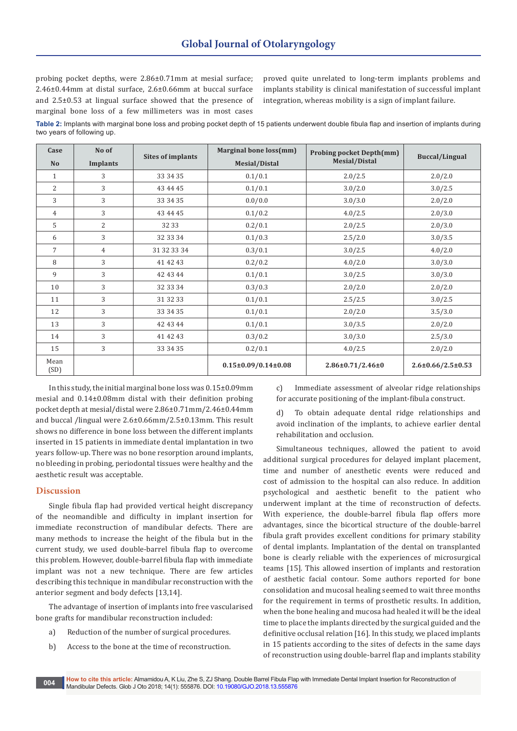probing pocket depths, were 2.86±0.71mm at mesial surface; 2.46±0.44mm at distal surface, 2.6±0.66mm at buccal surface and 2.5±0.53 at lingual surface showed that the presence of marginal bone loss of a few millimeters was in most cases

proved quite unrelated to long-term implants problems and implants stability is clinical manifestation of successful implant integration, whereas mobility is a sign of implant failure.

**Table 2:** Implants with marginal bone loss and probing pocket depth of 15 patients underwent double fibula flap and insertion of implants during two years of following up.

| Case<br>N <sub>o</sub> | No of<br>Implants | <b>Sites of implants</b> | Marginal bone loss(mm)<br>Mesial/Distal | <b>Probing pocket Depth(mm)</b><br>Mesial/Distal | <b>Buccal/Lingual</b>         |
|------------------------|-------------------|--------------------------|-----------------------------------------|--------------------------------------------------|-------------------------------|
| $\mathbf{1}$           | 3                 | 33 34 35                 | 0.1/0.1                                 | 2.0/2.5                                          | 2.0/2.0                       |
| $\overline{2}$         | 3                 | 43 44 45                 | 0.1/0.1                                 | 3.0/2.0                                          | 3.0/2.5                       |
| 3                      | 3                 | 33 34 35                 | 0.0/0.0                                 | 3.0/3.0                                          | 2.0/2.0                       |
| 4                      | 3                 | 43 44 45                 | 0.1/0.2                                 | 4.0/2.5                                          | 2.0/3.0                       |
| 5                      | 2                 | 32 33                    | 0.2/0.1                                 | 2.0/2.5                                          | 2.0/3.0                       |
| 6                      | 3                 | 32 33 34                 | 0.1/0.3                                 | 2.5/2.0                                          | 3.0/3.5                       |
| $\overline{7}$         | 4                 | 31 32 33 34              | 0.3/0.1                                 | 3.0/2.5                                          | 4.0/2.0                       |
| 8                      | 3                 | 41 42 43                 | 0.2/0.2                                 | 4.0/2.0                                          | 3.0/3.0                       |
| 9                      | 3                 | 42 43 44                 | 0.1/0.1                                 | 3.0/2.5                                          | 3.0/3.0                       |
| 10                     | 3                 | 32 33 34                 | 0.3/0.3                                 | 2.0/2.0                                          | 2.0/2.0                       |
| 11                     | 3                 | 31 32 33                 | 0.1/0.1                                 | 2.5/2.5                                          | 3.0/2.5                       |
| 12                     | 3                 | 33 34 35                 | 0.1/0.1                                 | 2.0/2.0                                          | 3.5/3.0                       |
| 13                     | 3                 | 42 43 44                 | 0.1/0.1                                 | 3.0/3.5                                          | 2.0/2.0                       |
| 14                     | 3                 | 41 42 43                 | 0.3/0.2                                 | 3.0/3.0                                          | 2.5/3.0                       |
| 15                     | 3                 | 33 34 35                 | 0.2/0.1                                 | 4.0/2.5                                          | 2.0/2.0                       |
| Mean<br>(SD)           |                   |                          | $0.15 \pm 0.09/0.14 \pm 0.08$           | $2.86 \pm 0.71/2.46 \pm 0$                       | $2.6 \pm 0.66 / 2.5 \pm 0.53$ |

In this study, the initial marginal bone loss was 0.15±0.09mm mesial and 0.14±0.08mm distal with their definition probing pocket depth at mesial/distal were 2.86±0.71mm/2.46±0.44mm and buccal /lingual were 2.6±0.66mm/2.5±0.13mm. This result shows no difference in bone loss between the different implants inserted in 15 patients in immediate dental implantation in two years follow-up. There was no bone resorption around implants, no bleeding in probing, periodontal tissues were healthy and the aesthetic result was acceptable.

## **Discussion**

Single fibula flap had provided vertical height discrepancy of the neomandible and difficulty in implant insertion for immediate reconstruction of mandibular defects. There are many methods to increase the height of the fibula but in the current study, we used double-barrel fibula flap to overcome this problem. However, double-barrel fibula flap with immediate implant was not a new technique. There are few articles describing this technique in mandibular reconstruction with the anterior segment and body defects [13,14].

The advantage of insertion of implants into free vascularised bone grafts for mandibular reconstruction included:

- a) Reduction of the number of surgical procedures.
- b) Access to the bone at the time of reconstruction.

c) Immediate assessment of alveolar ridge relationships for accurate positioning of the implant-fibula construct.

d) To obtain adequate dental ridge relationships and avoid inclination of the implants, to achieve earlier dental rehabilitation and occlusion.

Simultaneous techniques, allowed the patient to avoid additional surgical procedures for delayed implant placement, time and number of anesthetic events were reduced and cost of admission to the hospital can also reduce. In addition psychological and aesthetic benefit to the patient who underwent implant at the time of reconstruction of defects. With experience, the double-barrel fibula flap offers more advantages, since the bicortical structure of the double-barrel fibula graft provides excellent conditions for primary stability of dental implants. Implantation of the dental on transplanted bone is clearly reliable with the experiences of microsurgical teams [15]. This allowed insertion of implants and restoration of aesthetic facial contour. Some authors reported for bone consolidation and mucosal healing seemed to wait three months for the requirement in terms of prosthetic results. In addition, when the bone healing and mucosa had healed it will be the ideal time to place the implants directed by the surgical guided and the definitive occlusal relation [16]. In this study, we placed implants in 15 patients according to the sites of defects in the same days of reconstruction using double-barrel flap and implants stability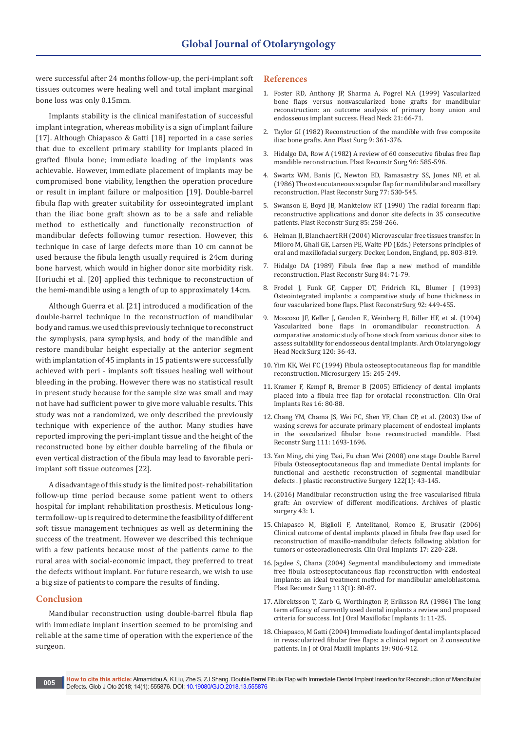were successful after 24 months follow-up, the peri-implant soft tissues outcomes were healing well and total implant marginal bone loss was only 0.15mm.

Implants stability is the clinical manifestation of successful implant integration, whereas mobility is a sign of implant failure [17]. Although Chiapasco & Gatti [18] reported in a case series that due to excellent primary stability for implants placed in grafted fibula bone; immediate loading of the implants was achievable. However, immediate placement of implants may be compromised bone viability, lengthen the operation procedure or result in implant failure or malposition [19]. Double-barrel fibula flap with greater suitability for osseointegrated implant than the iliac bone graft shown as to be a safe and reliable method to esthetically and functionally reconstruction of mandibular defects following tumor resection. However, this technique in case of large defects more than 10 cm cannot be used because the fibula length usually required is 24cm during bone harvest, which would in higher donor site morbidity risk. Horiuchi et al. [20] applied this technique to reconstruction of the hemi-mandible using a length of up to approximately 14cm.

Although Guerra et al. [21] introduced a modification of the double-barrel technique in the reconstruction of mandibular body and ramus. we used this previously technique to reconstruct the symphysis, para symphysis, and body of the mandible and restore mandibular height especially at the anterior segment with implantation of 45 implants in 15 patients were successfully achieved with peri - implants soft tissues healing well without bleeding in the probing. However there was no statistical result in present study because for the sample size was small and may not have had sufficient power to give more valuable results. This study was not a randomized, we only described the previously technique with experience of the author. Many studies have reported improving the peri-implant tissue and the height of the reconstructed bone by either double barreling of the fibula or even vertical distraction of the fibula may lead to favorable periimplant soft tissue outcomes [22].

A disadvantage of this study is the limited post- rehabilitation follow-up time period because some patient went to others hospital for implant rehabilitation prosthesis. Meticulous longterm follow- up is required to determine the feasibility of different soft tissue management techniques as well as determining the success of the treatment. However we described this technique with a few patients because most of the patients came to the rural area with social-economic impact, they preferred to treat the defects without implant. For future research, we wish to use a big size of patients to compare the results of finding.

## **Conclusion**

Mandibular reconstruction using double-barrel fibula flap with immediate implant insertion seemed to be promising and reliable at the same time of operation with the experience of the surgeon.

#### **References**

- 1. [Foster RD, Anthony JP, Sharma A, Pogrel MA \(1999\) Vascularized](https://www.ncbi.nlm.nih.gov/pubmed/9890353)  [bone flaps versus nonvascularized bone grafts for mandibular](https://www.ncbi.nlm.nih.gov/pubmed/9890353)  [reconstruction: an outcome analysis of primary bony union and](https://www.ncbi.nlm.nih.gov/pubmed/9890353)  [endosseous implant success. Head Neck 21: 66-71.](https://www.ncbi.nlm.nih.gov/pubmed/9890353)
- 2. [Taylor GI \(1982\) Reconstruction of the mandible with free composite](https://www.ncbi.nlm.nih.gov/pubmed/6758673)  [iliac bone grafts. Ann Plast Surg 9: 361-376.](https://www.ncbi.nlm.nih.gov/pubmed/6758673)
- 3. [Hidalgo DA, Row A \(1982\) A review of 60 consecutive fibulas free flap](https://www.ncbi.nlm.nih.gov/pubmed/7638283)  [mandible reconstruction. Plast Reconstr Surg 96: 585-596.](https://www.ncbi.nlm.nih.gov/pubmed/7638283)
- 4. [Swartz WM, Banis JC, Newton ED, Ramasastry SS, Jones NF, et al.](https://www.ncbi.nlm.nih.gov/pubmed/3952209)  [\(1986\) The osteocutaneous scapular flap for mandibular and maxillary](https://www.ncbi.nlm.nih.gov/pubmed/3952209)  [reconstruction. Plast Reconstr Surg 77: 530-545.](https://www.ncbi.nlm.nih.gov/pubmed/3952209)
- 5. [Swanson E, Boyd JB, Manktelow RT \(1990\) The radial forearm flap:](https://www.ncbi.nlm.nih.gov/pubmed/2300632)  [reconstructive applications and donor site defects in 35 consecutive](https://www.ncbi.nlm.nih.gov/pubmed/2300632)  [patients. Plast Reconstr Surg 85: 258-266.](https://www.ncbi.nlm.nih.gov/pubmed/2300632)
- 6. Helman JI, Blanchaert RH (2004) Microvascular free tissues transfer. In Miloro M, Ghali GE, Larsen PE, Waite PD (Eds.) Petersons principles of oral and maxillofacial surgery. Decker, London, England, pp. 803-819.
- 7. [Hidalgo DA \(1989\) Fibula free flap a new method of mandible](https://www.ncbi.nlm.nih.gov/pubmed/2734406)  [reconstruction. Plast Reconstr Surg 84: 71-79.](https://www.ncbi.nlm.nih.gov/pubmed/2734406)
- 8. [Frodel J, Funk GF, Capper DT, Fridrich KL, Blumer J \(1993\)](https://www.ncbi.nlm.nih.gov/pubmed/8341743)  [Osteointegrated implants: a comparative study of bone thickness in](https://www.ncbi.nlm.nih.gov/pubmed/8341743)  [four vascularized bone flaps. Plast ReconstrSurg 92: 449-455.](https://www.ncbi.nlm.nih.gov/pubmed/8341743)
- 9. [Moscoso JF, Keller J, Genden E, Weinberg H, Biller HF, et al. \(1994\)](https://www.ncbi.nlm.nih.gov/pubmed/8274254)  [Vascularized bone flaps in oromandibular reconstruction. A](https://www.ncbi.nlm.nih.gov/pubmed/8274254)  [comparative anatomic study of bone stock from various donor sites to](https://www.ncbi.nlm.nih.gov/pubmed/8274254)  [assess suitability for endosseous dental implants. Arch Otolaryngology](https://www.ncbi.nlm.nih.gov/pubmed/8274254)  [Head Neck Surg 120: 36-43.](https://www.ncbi.nlm.nih.gov/pubmed/8274254)
- 10. [Yim KK, Wei FC \(1994\) Fibula osteoseptocutaneous flap for mandible](https://www.ncbi.nlm.nih.gov/pubmed/8035669)  [reconstruction. Microsurgery 15: 245-249.](https://www.ncbi.nlm.nih.gov/pubmed/8035669)
- 11. [Kramer F, Kempf R, Bremer B \(2005\) Efficiency of dental implants](https://www.ncbi.nlm.nih.gov/pubmed/15642034)  [placed into a fibula free flap for orofacial reconstruction. Clin Oral](https://www.ncbi.nlm.nih.gov/pubmed/15642034)  [Implants Res 16: 80-88.](https://www.ncbi.nlm.nih.gov/pubmed/15642034)
- 12. [Chang YM, Chama JS, Wei FC, Shen YF, Chan CP, et al. \(2003\) Use of](https://www.ncbi.nlm.nih.gov/CBBresearch/Lu/Demo/PubTator/curator_identifier.cgi?user=User290492623&pmid=12655216&searchtype=PubMed_Search&query=22951620%5brelatedto%5d&page=1&Species_display=1&Gene_display=1&Chemical_display=1&Disease_display=1&Mutation_displ)  [waxing screws for accurate primary placement of endosteal implants](https://www.ncbi.nlm.nih.gov/CBBresearch/Lu/Demo/PubTator/curator_identifier.cgi?user=User290492623&pmid=12655216&searchtype=PubMed_Search&query=22951620%5brelatedto%5d&page=1&Species_display=1&Gene_display=1&Chemical_display=1&Disease_display=1&Mutation_displ)  [in the vascularized fibular bone reconstructed mandible. Plast](https://www.ncbi.nlm.nih.gov/CBBresearch/Lu/Demo/PubTator/curator_identifier.cgi?user=User290492623&pmid=12655216&searchtype=PubMed_Search&query=22951620%5brelatedto%5d&page=1&Species_display=1&Gene_display=1&Chemical_display=1&Disease_display=1&Mutation_displ)  [Reconstr Surg 111: 1693-1696.](https://www.ncbi.nlm.nih.gov/CBBresearch/Lu/Demo/PubTator/curator_identifier.cgi?user=User290492623&pmid=12655216&searchtype=PubMed_Search&query=22951620%5brelatedto%5d&page=1&Species_display=1&Gene_display=1&Chemical_display=1&Disease_display=1&Mutation_displ)
- 13. [Yan Ming, chi ying Tsai, Fu chan Wei \(2008\) one stage Double Barrel](https://www.ncbi.nlm.nih.gov/pubmed/18594398)  [Fibula Osteoseptocutaneous flap and immediate Dental implants for](https://www.ncbi.nlm.nih.gov/pubmed/18594398)  [functional and aesthetic reconstruction of segmental mandibular](https://www.ncbi.nlm.nih.gov/pubmed/18594398)  [defects . J plastic reconstructive Surgery 122\(1\): 43-145.](https://www.ncbi.nlm.nih.gov/pubmed/18594398)
- 14.(2016) Mandibular reconstruction using the free vascularised fibula graft: An overview of different modifications. Archives of plastic surgery 43: 1.
- 15. [Chiapasco M, Biglioli F, Antelitanol, Romeo E, Brusatir \(2006\)](https://www.ncbi.nlm.nih.gov/pubmed/16584419)  [Clinical outcome of dental implants placed in fibula free flap used for](https://www.ncbi.nlm.nih.gov/pubmed/16584419)  [reconstruction of maxillo-mandibular defects following ablation for](https://www.ncbi.nlm.nih.gov/pubmed/16584419)  [tumors or osteoradionecrosis. Clin Oral Implants 17: 220-228.](https://www.ncbi.nlm.nih.gov/pubmed/16584419)
- 16. [Jagdee S, Chana \(2004\) Segmental mandibulectomy and immediate](https://www.ncbi.nlm.nih.gov/pubmed/14707625)  [free fibula osteoseptocutaneous flap reconstruction with endosteal](https://www.ncbi.nlm.nih.gov/pubmed/14707625)  [implants: an ideal treatment method for mandibular ameloblastoma.](https://www.ncbi.nlm.nih.gov/pubmed/14707625)  [Plast Reconstr Surg 113\(1\): 80-87.](https://www.ncbi.nlm.nih.gov/pubmed/14707625)
- 17. [Albrektsson T, Zarb G, Worthington P, Eriksson RA \(1986\) The long](https://www.ncbi.nlm.nih.gov/pubmed/3527955)  [term efficacy of currently used dental implants a review and proposed](https://www.ncbi.nlm.nih.gov/pubmed/3527955)  [criteria for success. Int J Oral Maxillofac Implants 1: 11-25.](https://www.ncbi.nlm.nih.gov/pubmed/3527955)
- 18. [Chiapasco, M Gatti \(2004\) Immediate loading of dental implants placed](https://www.google.co.in/search?q=Immediate+loading+of+dental+implants+placed+in+revascularized+fibular+free+flaps%3A+a+clinical+report+on+2+consecutive+patients.&ie=utf-8&oe=utf-8&client=firefox-b-ab&gfe_rd=cr&dcr=0&ei=i8WfWryNH6avX-aJusAM)  [in revascularized fibular free flaps: a clinical report on 2 consecutive](https://www.google.co.in/search?q=Immediate+loading+of+dental+implants+placed+in+revascularized+fibular+free+flaps%3A+a+clinical+report+on+2+consecutive+patients.&ie=utf-8&oe=utf-8&client=firefox-b-ab&gfe_rd=cr&dcr=0&ei=i8WfWryNH6avX-aJusAM)  [patients. In J of Oral Maxill implants 19: 906-912.](https://www.google.co.in/search?q=Immediate+loading+of+dental+implants+placed+in+revascularized+fibular+free+flaps%3A+a+clinical+report+on+2+consecutive+patients.&ie=utf-8&oe=utf-8&client=firefox-b-ab&gfe_rd=cr&dcr=0&ei=i8WfWryNH6avX-aJusAM)